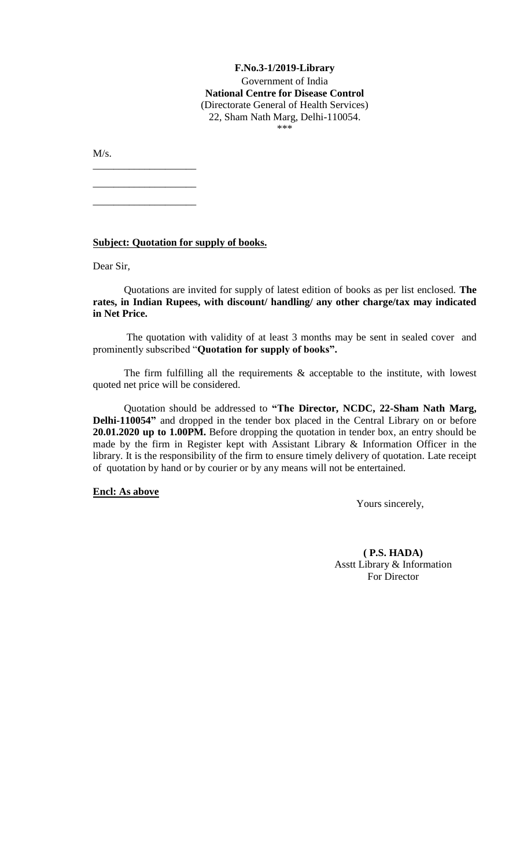## **F.No.3-1/2019-Library** Government of India **National Centre for Disease Control** (Directorate General of Health Services)

22, Sham Nath Marg, Delhi-110054.

\*\*\*

M/s.

**Subject: Quotation for supply of books.**

\_\_\_\_\_\_\_\_\_\_\_\_\_\_\_\_\_\_\_\_

\_\_\_\_\_\_\_\_\_\_\_\_\_\_\_\_\_\_\_\_

\_\_\_\_\_\_\_\_\_\_\_\_\_\_\_\_\_\_\_\_

Dear Sir,

Quotations are invited for supply of latest edition of books as per list enclosed. **The rates, in Indian Rupees, with discount/ handling/ any other charge/tax may indicated in Net Price.**

The quotation with validity of at least 3 months may be sent in sealed cover and prominently subscribed "**Quotation for supply of books".**

The firm fulfilling all the requirements  $\&$  acceptable to the institute, with lowest quoted net price will be considered.

Quotation should be addressed to **"The Director, NCDC, 22-Sham Nath Marg, Delhi-110054"** and dropped in the tender box placed in the Central Library on or before **20.01.2020 up to 1.00PM.** Before dropping the quotation in tender box, an entry should be made by the firm in Register kept with Assistant Library & Information Officer in the library. It is the responsibility of the firm to ensure timely delivery of quotation. Late receipt of quotation by hand or by courier or by any means will not be entertained.

## **Encl: As above**

Yours sincerely,

**( P.S. HADA)** Asstt Library & Information For Director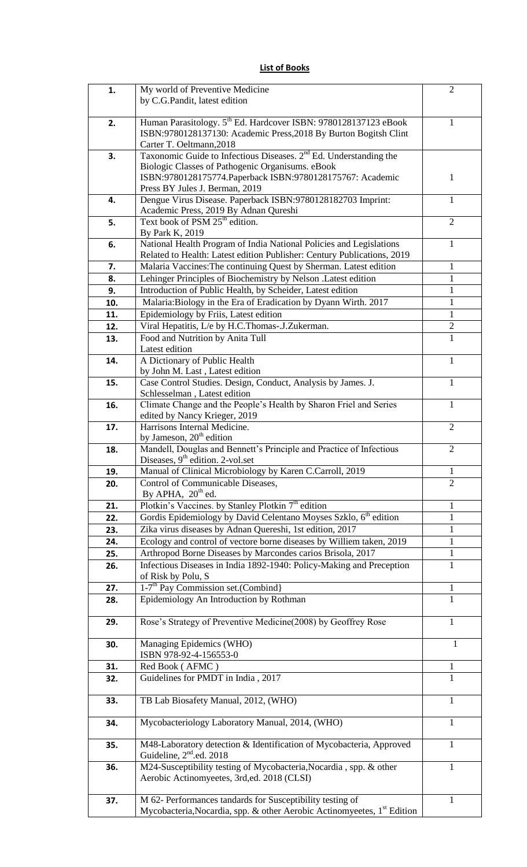|  |  |  | <b>List of Books</b> |  |
|--|--|--|----------------------|--|
|--|--|--|----------------------|--|

| 1.  | My world of Preventive Medicine<br>by C.G.Pandit, latest edition                                                                                                            | $\overline{2}$ |
|-----|-----------------------------------------------------------------------------------------------------------------------------------------------------------------------------|----------------|
| 2.  | Human Parasitology. 5 <sup>th</sup> Ed. Hardcover ISBN: 9780128137123 eBook<br>ISBN:9780128137130: Academic Press, 2018 By Burton Bogitsh Clint<br>Carter T. Oeltmann, 2018 | 1              |
| 3.  | Taxonomic Guide to Infectious Diseases. 2 <sup>nd</sup> Ed. Understanding the                                                                                               |                |
|     | Biologic Classes of Pathogenic Organisums. eBook<br>ISBN:9780128175774. Paperback ISBN:9780128175767: Academic<br>Press BY Jules J. Berman, 2019                            | $\mathbf{1}$   |
| 4.  | Dengue Virus Disease. Paperback ISBN:9780128182703 Imprint:<br>Academic Press, 2019 By Adnan Qureshi                                                                        | $\mathbf{1}$   |
| 5.  | Text book of PSM 25 <sup>th</sup> edition.                                                                                                                                  | $\overline{2}$ |
| 6.  | By Park K, 2019<br>National Health Program of India National Policies and Legislations<br>Related to Health: Latest edition Publisher: Century Publications, 2019           | $\mathbf{1}$   |
| 7.  | Malaria Vaccines: The continuing Quest by Sherman. Latest edition                                                                                                           | $\mathbf{1}$   |
| 8.  | Lehinger Principles of Biochemistry by Nelson .Latest edition                                                                                                               | $\mathbf{1}$   |
| 9.  | Introduction of Public Health, by Scheider, Latest edition                                                                                                                  | 1              |
| 10. | Malaria: Biology in the Era of Eradication by Dyann Wirth. 2017                                                                                                             | $\mathbf{1}$   |
| 11. | Epidemiology by Friis, Latest edition                                                                                                                                       | 1              |
| 12. | Viral Hepatitis, L/e by H.C.Thomas-.J.Zukerman.                                                                                                                             | $\overline{2}$ |
| 13. | Food and Nutrition by Anita Tull<br>Latest edition                                                                                                                          | 1              |
| 14. | A Dictionary of Public Health<br>by John M. Last, Latest edition                                                                                                            | $\mathbf{1}$   |
| 15. | Case Control Studies. Design, Conduct, Analysis by James. J.<br>Schlesselman, Latest edition                                                                                | $\mathbf{1}$   |
| 16. | Climate Change and the People's Health by Sharon Friel and Series<br>edited by Nancy Krieger, 2019                                                                          | $\mathbf{1}$   |
| 17. | Harrisons Internal Medicine.<br>by Jameson, $20th$ edition                                                                                                                  | $\overline{2}$ |
| 18. | Mandell, Douglas and Bennett's Principle and Practice of Infectious<br>Diseases, $9th$ edition. 2-vol.set                                                                   | $\overline{2}$ |
| 19. | Manual of Clinical Microbiology by Karen C.Carroll, 2019                                                                                                                    | $\mathbf{1}$   |
| 20. | Control of Communicable Diseases,<br>By APHA, $20th$ ed.                                                                                                                    | $\overline{2}$ |
| 21. | Plotkin's Vaccines. by Stanley Plotkin 7 <sup>th</sup> edition                                                                                                              | 1              |
| 22. | Gordis Epidemiology by David Celentano Moyses Szklo, 6 <sup>th</sup> edition                                                                                                | 1              |
| 23. | Zika virus diseases by Adnan Quereshi, 1st edition, 2017                                                                                                                    | $\mathbf{1}$   |
| 24. | Ecology and control of vectore borne diseases by Williem taken, 2019                                                                                                        | $\mathbf{1}$   |
| 25. | Arthropod Borne Diseases by Marcondes carios Brisola, 2017                                                                                                                  | $\mathbf{1}$   |
| 26. | Infectious Diseases in India 1892-1940: Policy-Making and Preception<br>of Risk by Polu, S                                                                                  | $\mathbf{1}$   |
| 27. | 1-7 <sup>th</sup> Pay Commission set.(Combind)                                                                                                                              | 1              |
| 28. | Epidemiology An Introduction by Rothman                                                                                                                                     | $\mathbf{1}$   |
| 29. | Rose's Strategy of Preventive Medicine(2008) by Geoffrey Rose                                                                                                               | $\mathbf{1}$   |
| 30. | Managing Epidemics (WHO)<br>ISBN 978-92-4-156553-0                                                                                                                          | 1              |
| 31. | Red Book (AFMC)                                                                                                                                                             | 1              |
| 32. | Guidelines for PMDT in India, 2017                                                                                                                                          | $\mathbf{1}$   |
| 33. | TB Lab Biosafety Manual, 2012, (WHO)                                                                                                                                        | $\mathbf{1}$   |
| 34. | Mycobacteriology Laboratory Manual, 2014, (WHO)                                                                                                                             | 1              |
| 35. | M48-Laboratory detection & Identification of Mycobacteria, Approved<br>Guideline, 2 <sup>nd</sup> .ed. 2018                                                                 | 1              |
| 36. | M24-Susceptibility testing of Mycobacteria, Nocardia, spp. & other<br>Aerobic Actinomyeetes, 3rd,ed. 2018 (CLSI)                                                            | $\mathbf{1}$   |
| 37. | M 62- Performances tandards for Susceptibility testing of<br>Mycobacteria, Nocardia, spp. & other Aerobic Actinomyeetes, 1 <sup>st</sup> Edition                            | 1              |
|     |                                                                                                                                                                             |                |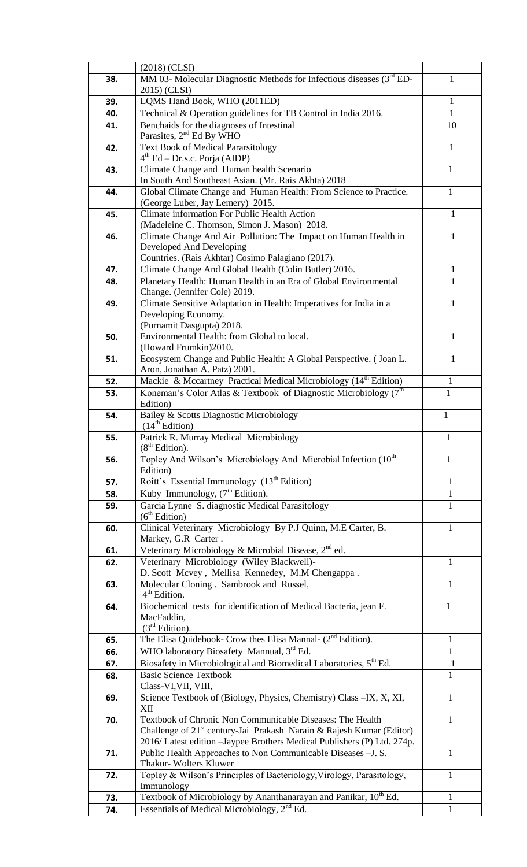|     | $(2018)$ (CLSI)                                                                                 |              |
|-----|-------------------------------------------------------------------------------------------------|--------------|
| 38. | MM 03- Molecular Diagnostic Methods for Infectious diseases $(3rdED-$                           | T            |
|     | 2015) (CLSI)                                                                                    |              |
| 39. | LQMS Hand Book, WHO (2011ED)                                                                    | $\mathbf{1}$ |
| 40. | Technical & Operation guidelines for TB Control in India 2016.                                  | $\mathbf{1}$ |
| 41. | Benchaids for the diagnoses of Intestinal                                                       | 10           |
|     | Parasites, 2 <sup>nd</sup> Ed By WHO                                                            |              |
| 42. | <b>Text Book of Medical Pararsitology</b>                                                       | 1            |
|     | $4th$ Ed – Dr.s.c. Porja (AIDP)                                                                 |              |
| 43. | Climate Change and Human health Scenario<br>In South And Southeast Asian. (Mr. Rais Akhta) 2018 | $\mathbf{1}$ |
| 44. | Global Climate Change and Human Health: From Science to Practice.                               | 1            |
|     | (George Luber, Jay Lemery) 2015.                                                                |              |
| 45. | Climate information For Public Health Action                                                    | 1            |
|     | (Madeleine C. Thomson, Simon J. Mason) 2018.                                                    |              |
| 46. | Climate Change And Air Pollution: The Impact on Human Health in                                 | $\mathbf{1}$ |
|     | Developed And Developing                                                                        |              |
|     | Countries. (Rais Akhtar) Cosimo Palagiano (2017).                                               |              |
| 47. | Climate Change And Global Health (Colin Butler) 2016.                                           | 1            |
| 48. | Planetary Health: Human Health in an Era of Global Environmental                                | $\mathbf{1}$ |
|     | Change. (Jennifer Cole) 2019.                                                                   |              |
| 49. | Climate Sensitive Adaptation in Health: Imperatives for India in a                              | 1            |
|     | Developing Economy.                                                                             |              |
|     | (Purnamit Dasgupta) 2018.                                                                       |              |
| 50. | Environmental Health: from Global to local.                                                     | 1            |
| 51. | (Howard Frumkin) 2010.<br>Ecosystem Change and Public Health: A Global Perspective. (Joan L.    | $\mathbf{1}$ |
|     | Aron, Jonathan A. Patz) 2001.                                                                   |              |
| 52. | Mackie & Mccartney Practical Medical Microbiology (14 <sup>th</sup> Edition)                    | 1            |
| 53. | Koneman's Color Atlas & Textbook of Diagnostic Microbiology (7th                                | $\mathbf{1}$ |
|     | Edition)                                                                                        |              |
| 54. | Bailey & Scotts Diagnostic Microbiology                                                         | 1            |
|     | (14 <sup>th</sup> Edition)                                                                      |              |
| 55. | Patrick R. Murray Medical Microbiology                                                          | 1            |
|     | (8 <sup>th</sup> Edition).                                                                      |              |
| 56. | Topley And Wilson's Microbiology And Microbial Infection (10th                                  | 1            |
|     | Edition)                                                                                        |              |
| 57. | Roitt's Essential Immunology (13 <sup>th</sup> Edition)                                         | 1            |
| 58. | Kuby Immunology, (7 <sup>th</sup> Edition).                                                     | $\mathbf{1}$ |
| 59. | Garcia Lynne S. diagnostic Medical Parasitology                                                 | 1            |
|     | (6 <sup>th</sup> Edition)                                                                       |              |
| 60. | Clinical Veterinary Microbiology By P.J Quinn, M.E Carter, B.<br>Markey, G.R Carter.            | 1            |
| 61. | Veterinary Microbiology & Microbial Disease, 2 <sup>nd</sup> ed.                                |              |
| 62. | Veterinary Microbiology (Wiley Blackwell)-                                                      | 1            |
|     | D. Scott Mcvey, Mellisa Kennedey, M.M Chengappa.                                                |              |
| 63. | Molecular Cloning. Sambrook and Russel,                                                         | 1            |
|     | $4th$ Edition.                                                                                  |              |
| 64. | Biochemical tests for identification of Medical Bacteria, jean F.                               | 1            |
|     | MacFaddin,                                                                                      |              |
|     | (3 <sup>rd</sup> Edition).                                                                      |              |
| 65. | The Elisa Quidebook- Crow thes Elisa Mannal- $(2^{nd}$ Edition).                                | 1            |
| 66. | WHO laboratory Biosafety Mannual, 3rd Ed.                                                       | 1            |
| 67. | Biosafety in Microbiological and Biomedical Laboratories, 5 <sup>th</sup> Ed.                   | $\mathbf{1}$ |
| 68. | <b>Basic Science Textbook</b>                                                                   | 1            |
|     | Class-VI, VII, VIII,                                                                            |              |
| 69. | Science Textbook of (Biology, Physics, Chemistry) Class -IX, X, XI,<br>XII                      | $\mathbf{1}$ |
| 70. | Textbook of Chronic Non Communicable Diseases: The Health                                       | 1            |
|     | Challenge of $21^{st}$ century-Jai Prakash Narain & Rajesh Kumar (Editor)                       |              |
|     | 2016/ Latest edition - Jaypee Brothers Medical Publishers (P) Ltd. 274p.                        |              |
| 71. | Public Health Approaches to Non Communicable Diseases - J. S.                                   | 1            |
|     | Thakur- Wolters Kluwer                                                                          |              |
| 72. | Topley & Wilson's Principles of Bacteriology, Virology, Parasitology,                           | 1            |
|     | Immunology                                                                                      |              |
| 73. | Textbook of Microbiology by Ananthanarayan and Panikar, 10 <sup>th</sup> Ed.                    | 1            |
| 74. | Essentials of Medical Microbiology, $2nd Ed$ .                                                  | $\mathbf{1}$ |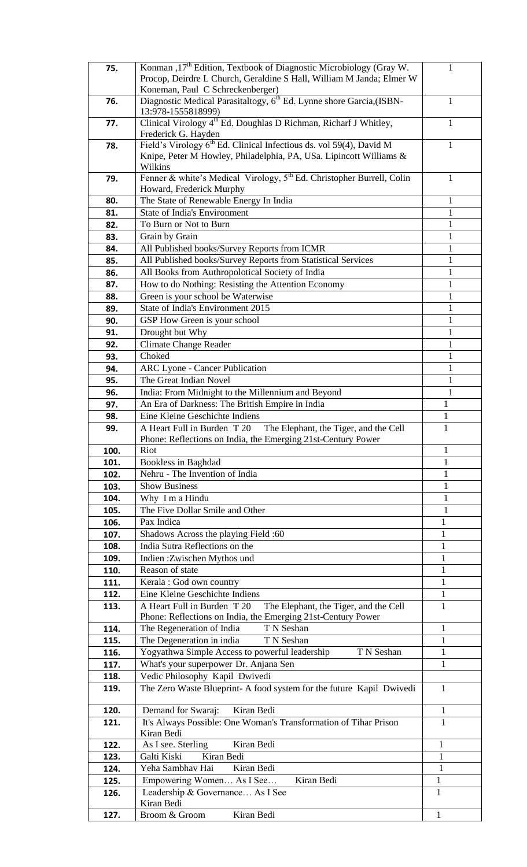| 75.  | Konman , 17 <sup>th</sup> Edition, Textbook of Diagnostic Microbiology (Gray W.   | 1            |
|------|-----------------------------------------------------------------------------------|--------------|
|      | Procop, Deirdre L Church, Geraldine S Hall, William M Janda; Elmer W              |              |
|      | Koneman, Paul C Schreckenberger)                                                  |              |
|      |                                                                                   |              |
| 76.  | Diagnostic Medical Parasitaltogy, 6 <sup>th</sup> Ed. Lynne shore Garcia, (ISBN-  | 1            |
|      | 13:978-1555818999)                                                                |              |
| 77.  | Clinical Virology 4 <sup>th</sup> Ed. Doughlas D Richman, Richarf J Whitley,      | T            |
|      | Frederick G. Hayden                                                               |              |
| 78.  | Field's Virology 6 <sup>th</sup> Ed. Clinical Infectious ds. vol 59(4), David M   | 1            |
|      |                                                                                   |              |
|      | Knipe, Peter M Howley, Philadelphia, PA, USa. Lipincott Williams &                |              |
|      | Wilkins                                                                           |              |
| 79.  | Fenner & white's Medical Virology, 5 <sup>th</sup> Ed. Christopher Burrell, Colin | 1            |
|      | Howard, Frederick Murphy                                                          |              |
| 80.  | The State of Renewable Energy In India                                            | 1            |
|      |                                                                                   |              |
| 81.  | <b>State of India's Environment</b>                                               | 1            |
| 82.  | To Burn or Not to Burn                                                            | 1            |
| 83.  | Grain by Grain                                                                    | $\mathbf{1}$ |
| 84.  | All Published books/Survey Reports from ICMR                                      | $\mathbf{1}$ |
|      |                                                                                   |              |
| 85.  | All Published books/Survey Reports from Statistical Services                      | 1            |
| 86.  | All Books from Authropolotical Society of India                                   | 1            |
| 87.  | How to do Nothing: Resisting the Attention Economy                                | 1            |
| 88.  | Green is your school be Waterwise                                                 | $\mathbf{1}$ |
|      |                                                                                   |              |
| 89.  | State of India's Environment 2015                                                 | 1            |
| 90.  | GSP How Green is your school                                                      | 1            |
| 91.  | Drought but Why                                                                   | $\mathbf{1}$ |
|      | <b>Climate Change Reader</b>                                                      | 1            |
| 92.  |                                                                                   |              |
| 93.  | Choked                                                                            | 1            |
| 94.  | <b>ARC Lyone - Cancer Publication</b>                                             | 1            |
| 95.  | The Great Indian Novel                                                            | 1            |
| 96.  | India: From Midnight to the Millennium and Beyond                                 | 1            |
|      |                                                                                   |              |
| 97.  | An Era of Darkness: The British Empire in India                                   | $\mathbf{1}$ |
| 98.  | Eine Kleine Geschichte Indiens                                                    | $\mathbf{1}$ |
| 99.  | A Heart Full in Burden T 20<br>The Elephant, the Tiger, and the Cell              | 1            |
|      | Phone: Reflections on India, the Emerging 21st-Century Power                      |              |
| 100. | Riot                                                                              | 1            |
| 101. | <b>Bookless in Baghdad</b>                                                        | 1            |
|      | Nehru - The Invention of India                                                    | $\mathbf{1}$ |
| 102. |                                                                                   |              |
| 103. | <b>Show Business</b>                                                              | 1            |
| 104. | Why I m a Hindu                                                                   | $\mathbf{1}$ |
| 105. | The Five Dollar Smile and Other                                                   | $\mathbf{1}$ |
| 106. | Pax Indica                                                                        | $\mathbf{1}$ |
|      |                                                                                   |              |
| 107. | Shadows Across the playing Field :60                                              | $\mathbf{1}$ |
| 108. | India Sutra Reflections on the                                                    | 1            |
| 109. | Indien: Zwischen Mythos und                                                       | 1            |
| 110. | Reason of state                                                                   | 1            |
|      |                                                                                   |              |
| 111. | Kerala: God own country                                                           | 1            |
| 112. | Eine Kleine Geschichte Indiens                                                    | $\mathbf{1}$ |
| 113. | A Heart Full in Burden T 20<br>The Elephant, the Tiger, and the Cell              | 1            |
|      | Phone: Reflections on India, the Emerging 21st-Century Power                      |              |
| 114. | T N Seshan<br>The Regeneration of India                                           | 1            |
| 115. | The Degeneration in india<br>T N Seshan                                           | 1            |
|      |                                                                                   |              |
| 116. | Yogyathwa Simple Access to powerful leadership<br>T N Seshan                      | 1            |
| 117. | What's your superpower Dr. Anjana Sen                                             | 1            |
| 118. | Vedic Philosophy Kapil Dwivedi                                                    |              |
| 119. | The Zero Waste Blueprint- A food system for the future Kapil Dwivedi              | 1            |
|      |                                                                                   |              |
| 120. | Kiran Bedi<br>Demand for Swaraj:                                                  | 1            |
|      |                                                                                   |              |
| 121. | It's Always Possible: One Woman's Transformation of Tihar Prison                  | 1            |
|      | Kiran Bedi                                                                        |              |
| 122. | Kiran Bedi<br>As I see. Sterling                                                  | 1            |
| 123. | Kiran Bedi<br>Galti Kiski                                                         | $\mathbf{1}$ |
| 124. | Yeha Sambhav Hai<br>Kiran Bedi                                                    | $\mathbf{1}$ |
|      | Kiran Bedi                                                                        |              |
| 125. | Empowering Women As I See                                                         | $\mathbf{1}$ |
| 126. | Leadership & Governance As I See                                                  | 1            |
|      | Kiran Bedi                                                                        |              |
| 127. | Kiran Bedi<br>Broom & Groom                                                       | $\mathbf{1}$ |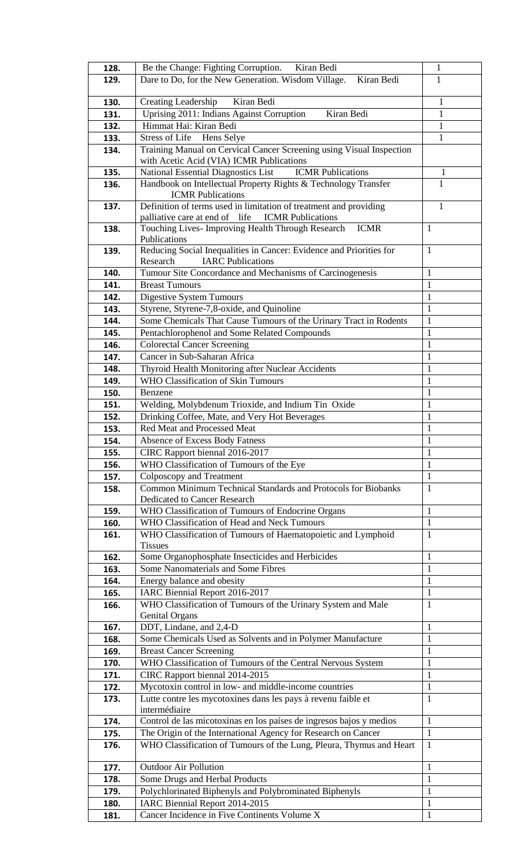| 128.         | Be the Change: Fighting Corruption. Kiran Bedi                                         | $\mathbf{1}$      |
|--------------|----------------------------------------------------------------------------------------|-------------------|
| 129.         | Dare to Do, for the New Generation. Wisdom Village.<br>Kiran Bedi                      | 1                 |
|              |                                                                                        |                   |
| 130.         | Kiran Bedi<br>Creating Leadership                                                      | 1                 |
| 131.         | Kiran Bedi<br>Uprising 2011: Indians Against Corruption                                | $\mathbf{1}$      |
| 132.         | Himmat Hai: Kiran Bedi                                                                 | $\mathbf{1}$      |
| 133.         | Stress of Life Hens Selye                                                              | $\mathbf{1}$      |
| 134.         | Training Manual on Cervical Cancer Screening using Visual Inspection                   |                   |
|              | with Acetic Acid (VIA) ICMR Publications                                               |                   |
| 135.         | <b>ICMR</b> Publications<br><b>National Essential Diagnostics List</b>                 | 1                 |
| 136.         | Handbook on Intellectual Property Rights & Technology Transfer                         | 1                 |
|              | <b>ICMR</b> Publications                                                               |                   |
| 137.         | Definition of terms used in limitation of treatment and providing                      | $\mathbf{1}$      |
|              | palliative care at end of life<br><b>ICMR</b> Publications                             |                   |
| 138.         | Touching Lives- Improving Health Through Research ICMR                                 | $\mathbf{1}$      |
|              | Publications                                                                           |                   |
| 139.         | Reducing Social Inequalities in Cancer: Evidence and Priorities for                    | $\mathbf{1}$      |
|              | <b>IARC Publications</b><br>Research                                                   |                   |
| 140.         | Tumour Site Concordance and Mechanisms of Carcinogenesis                               | 1                 |
| 141.         | <b>Breast Tumours</b>                                                                  | 1                 |
| 142.         | Digestive System Tumours                                                               | $\mathbf{1}$      |
| 143.         | Styrene, Styrene-7,8-oxide, and Quinoline                                              | $\mathbf{1}$      |
| 144.         | Some Chemicals That Cause Tumours of the Urinary Tract in Rodents                      | $\mathbf{1}$      |
| 145.         | Pentachlorophenol and Some Related Compounds                                           | $\mathbf{1}$      |
| 146.         | Colorectal Cancer Screening                                                            | $\mathbf{1}$      |
| 147.         | Cancer in Sub-Saharan Africa                                                           | $\mathbf{1}$      |
| 148.         | Thyroid Health Monitoring after Nuclear Accidents                                      | $\mathbf{1}$      |
| 149.         | <b>WHO Classification of Skin Tumours</b>                                              | $\mathbf{1}$      |
| 150.         | Benzene                                                                                | $\mathbf{1}$      |
| 151.         | Welding, Molybdenum Trioxide, and Indium Tin Oxide                                     | $\mathbf{1}$      |
|              | Drinking Coffee, Mate, and Very Hot Beverages                                          | $\mathbf{1}$      |
| 152.         | Red Meat and Processed Meat                                                            | $\mathbf{1}$      |
| 153.         |                                                                                        |                   |
| 154.         | <b>Absence of Excess Body Fatness</b>                                                  | $\mathbf{1}$      |
| 155.         | CIRC Rapport biennal 2016-2017                                                         | 1                 |
| 156.         | WHO Classification of Tumours of the Eye                                               | 1                 |
| 157.         | Colposcopy and Treatment                                                               | 1                 |
| 158.         | Common Minimum Technical Standards and Protocols for Biobanks                          | $\mathbf{1}$      |
|              | Dedicated to Cancer Research                                                           |                   |
| 159.         | WHO Classification of Tumours of Endocrine Organs                                      | 1                 |
| 160.         | WHO Classification of Head and Neck Tumours                                            | $\mathbf{1}$      |
| 161.         | WHO Classification of Tumours of Haematopoietic and Lymphoid<br><b>Tissues</b>         | 1                 |
|              |                                                                                        | $\mathbf{1}$      |
| 162.         | Some Organophosphate Insecticides and Herbicides<br>Some Nanomaterials and Some Fibres | $\mathbf{1}$      |
| 163.         |                                                                                        |                   |
| 164.         | Energy balance and obesity                                                             | 1<br>$\mathbf{1}$ |
| 165.         | IARC Biennial Report 2016-2017                                                         |                   |
| 166.         | WHO Classification of Tumours of the Urinary System and Male<br><b>Genital Organs</b>  | 1                 |
| 167.         | DDT, Lindane, and 2,4-D                                                                | $\mathbf{1}$      |
| 168.         | Some Chemicals Used as Solvents and in Polymer Manufacture                             | $\mathbf{1}$      |
| 169.         | <b>Breast Cancer Screening</b>                                                         | $\mathbf{1}$      |
| 170.         | WHO Classification of Tumours of the Central Nervous System                            | $\mathbf{1}$      |
|              | CIRC Rapport biennal 2014-2015                                                         | $\mathbf{1}$      |
| 171.<br>172. | Mycotoxin control in low- and middle-income countries                                  | 1                 |
|              | Lutte contre les mycotoxines dans les pays à revenu faible et                          | $\mathbf{1}$      |
| 173.         | intermédiaire                                                                          |                   |
| 174.         | Control de las micotoxinas en los países de ingresos bajos y medios                    | 1                 |
| 175.         | The Origin of the International Agency for Research on Cancer                          | $\mathbf{1}$      |
| 176.         | WHO Classification of Tumours of the Lung, Pleura, Thymus and Heart                    | 1                 |
|              |                                                                                        |                   |
| 177.         | <b>Outdoor Air Pollution</b>                                                           | $\mathbf{1}$      |
| 178.         | Some Drugs and Herbal Products                                                         | $\mathbf{1}$      |
| 179.         | Polychlorinated Biphenyls and Polybrominated Biphenyls                                 | $\mathbf{1}$      |
| 180.         | IARC Biennial Report 2014-2015                                                         | $\mathbf{1}$      |
| 181.         | Cancer Incidence in Five Continents Volume X                                           | $\mathbf{1}$      |
|              |                                                                                        |                   |